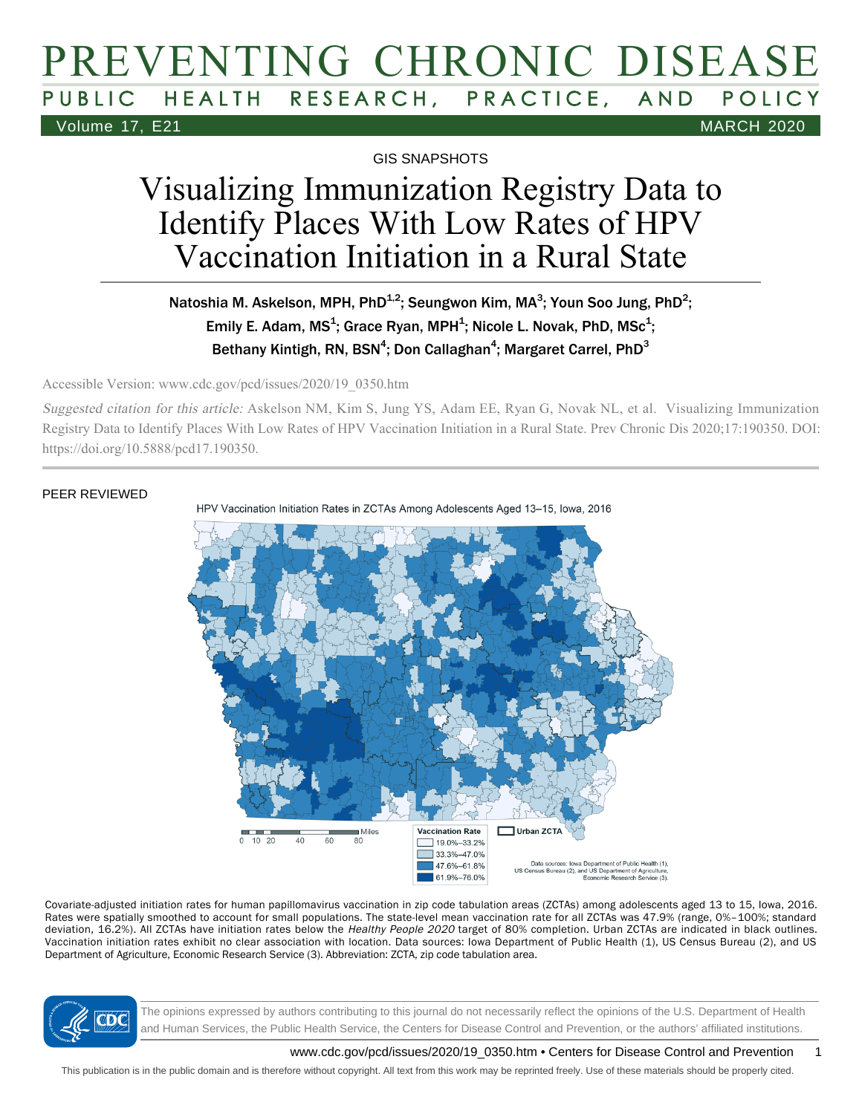## PREVENTING CHRONIC DISEASE HEALTH RESEARCH, PRACTICE, AND POLICY Volume 17, E21 MARCH 2020

GIS SNAPSHOTS

# Visualizing Immunization Registry Data to Identify Places With Low Rates of HPV Vaccination Initiation in a Rural State

### Natoshia M. Askelson, MPH, PhD $^{1,2}$ ; Seungwon Kim, MA $^3$ ; Youn Soo Jung, PhD $^2$ ; Emily E. Adam, MS<sup>1</sup>; Grace Ryan, MPH<sup>1</sup>; Nicole L. Novak, PhD, MSc<sup>1</sup>; Bethany Kintigh, RN, BSN<sup>4</sup>; Don Callaghan<sup>4</sup>; Margaret Carrel, PhD<sup>3</sup>

Accessible Version: www.cdc.gov/pcd/issues/2020/19\_0350.htm

Suggested citation for this article: Askelson NM, Kim S, Jung YS, Adam EE, Ryan G, Novak NL, et al. Visualizing Immunization Registry Data to Identify Places With Low Rates of HPV Vaccination Initiation in a Rural State. Prev Chronic Dis 2020;17:190350. DOI: https://doi.org/10.5888/pcd17.190350.

### PEER REVIEWED



Covariate-adjusted initiation rates for human papillomavirus vaccination in zip code tabulation areas (ZCTAs) among adolescents aged 13 to 15, Iowa, 2016. Rates were spatially smoothed to account for small populations. The state-level mean vaccination rate for all ZCTAs was 47.9% (range, 0%–100%; standard deviation, 16.2%). All ZCTAs have initiation rates below the Healthy People 2020 target of 80% completion. Urban ZCTAs are indicated in black outlines. Vaccination initiation rates exhibit no clear association with location. Data sources: Iowa Department of Public Health (1), US Census Bureau (2), and US Department of Agriculture, Economic Research Service (3). Abbreviation: ZCTA, zip code tabulation area.



The opinions expressed by authors contributing to this journal do not necessarily reflect the opinions of the U.S. Department of Health and Human Services, the Public Health Service, the Centers for Disease Control and Prevention, or the authors' affiliated institutions.

www.cdc.gov/pcd/issues/2020/19\_0350.htm • Centers for Disease Control and Prevention 1

This publication is in the public domain and is therefore without copyright. All text from this work may be reprinted freely. Use of these materials should be properly cited.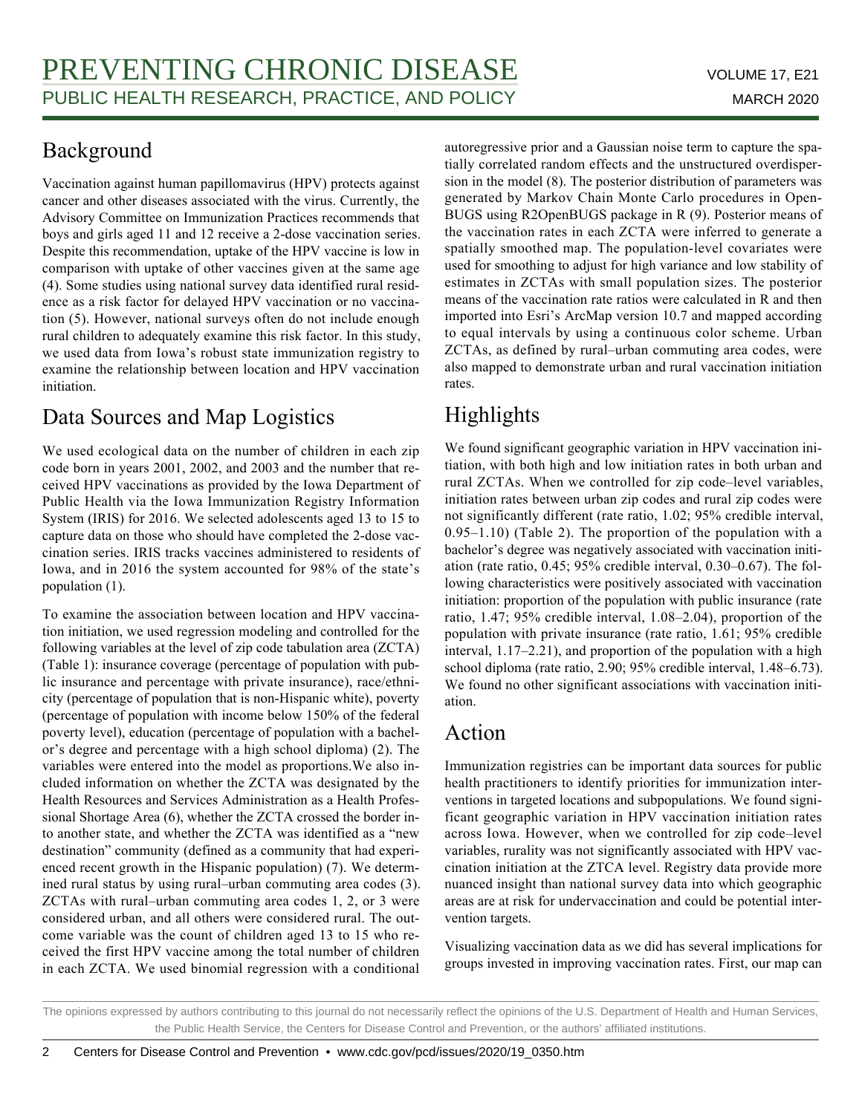### Background

Vaccination against human papillomavirus (HPV) protects against cancer and other diseases associated with the virus. Currently, the Advisory Committee on Immunization Practices recommends that boys and girls aged 11 and 12 receive a 2-dose vaccination series. Despite this recommendation, uptake of the HPV vaccine is low in comparison with uptake of other vaccines given at the same age (4). Some studies using national survey data identified rural residence as a risk factor for delayed HPV vaccination or no vaccination (5). However, national surveys often do not include enough rural children to adequately examine this risk factor. In this study, we used data from Iowa's robust state immunization registry to examine the relationship between location and HPV vaccination initiation.

## Data Sources and Map Logistics

We used ecological data on the number of children in each zip code born in years 2001, 2002, and 2003 and the number that received HPV vaccinations as provided by the Iowa Department of Public Health via the Iowa Immunization Registry Information System (IRIS) for 2016. We selected adolescents aged 13 to 15 to capture data on those who should have completed the 2-dose vaccination series. IRIS tracks vaccines administered to residents of Iowa, and in 2016 the system accounted for 98% of the state's population (1).

To examine the association between location and HPV vaccination initiation, we used regression modeling and controlled for the following variables at the level of zip code tabulation area (ZCTA) (Table 1): insurance coverage (percentage of population with public insurance and percentage with private insurance), race/ethnicity (percentage of population that is non-Hispanic white), poverty (percentage of population with income below 150% of the federal poverty level), education (percentage of population with a bachelor's degree and percentage with a high school diploma) (2). The variables were entered into the model as proportions.We also included information on whether the ZCTA was designated by the Health Resources and Services Administration as a Health Professional Shortage Area (6), whether the ZCTA crossed the border into another state, and whether the ZCTA was identified as a "new destination" community (defined as a community that had experienced recent growth in the Hispanic population) (7). We determined rural status by using rural–urban commuting area codes (3). ZCTAs with rural–urban commuting area codes 1, 2, or 3 were considered urban, and all others were considered rural. The outcome variable was the count of children aged 13 to 15 who received the first HPV vaccine among the total number of children in each ZCTA. We used binomial regression with a conditional

autoregressive prior and a Gaussian noise term to capture the spatially correlated random effects and the unstructured overdispersion in the model (8). The posterior distribution of parameters was generated by Markov Chain Monte Carlo procedures in Open-BUGS using R2OpenBUGS package in R (9). Posterior means of the vaccination rates in each ZCTA were inferred to generate a spatially smoothed map. The population-level covariates were used for smoothing to adjust for high variance and low stability of estimates in ZCTAs with small population sizes. The posterior means of the vaccination rate ratios were calculated in R and then imported into Esri's ArcMap version 10.7 and mapped according to equal intervals by using a continuous color scheme. Urban ZCTAs, as defined by rural–urban commuting area codes, were also mapped to demonstrate urban and rural vaccination initiation rates.

## Highlights

We found significant geographic variation in HPV vaccination initiation, with both high and low initiation rates in both urban and rural ZCTAs. When we controlled for zip code–level variables, initiation rates between urban zip codes and rural zip codes were not significantly different (rate ratio, 1.02; 95% credible interval, 0.95–1.10) (Table 2). The proportion of the population with a bachelor's degree was negatively associated with vaccination initiation (rate ratio, 0.45; 95% credible interval, 0.30–0.67). The following characteristics were positively associated with vaccination initiation: proportion of the population with public insurance (rate ratio, 1.47; 95% credible interval, 1.08–2.04), proportion of the population with private insurance (rate ratio, 1.61; 95% credible interval, 1.17–2.21), and proportion of the population with a high school diploma (rate ratio, 2.90; 95% credible interval, 1.48–6.73). We found no other significant associations with vaccination initiation.

## Action

Immunization registries can be important data sources for public health practitioners to identify priorities for immunization interventions in targeted locations and subpopulations. We found significant geographic variation in HPV vaccination initiation rates across Iowa. However, when we controlled for zip code–level variables, rurality was not significantly associated with HPV vaccination initiation at the ZTCA level. Registry data provide more nuanced insight than national survey data into which geographic areas are at risk for undervaccination and could be potential intervention targets.

Visualizing vaccination data as we did has several implications for groups invested in improving vaccination rates. First, our map can

The opinions expressed by authors contributing to this journal do not necessarily reflect the opinions of the U.S. Department of Health and Human Services, the Public Health Service, the Centers for Disease Control and Prevention, or the authors' affiliated institutions.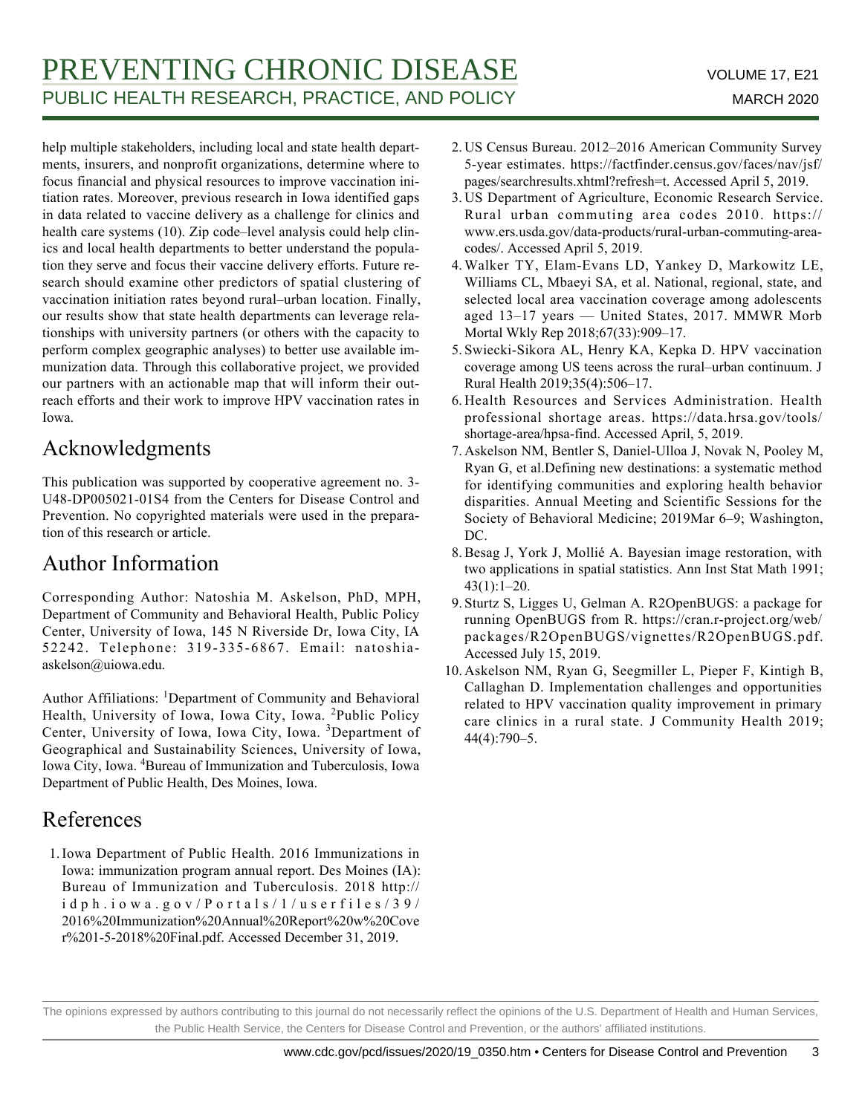## PREVENTING CHRONIC DISEASE VOLUME 17, E21 PUBLIC HEALTH RESEARCH, PRACTICE, AND POLICY MARCH 2020

help multiple stakeholders, including local and state health departments, insurers, and nonprofit organizations, determine where to focus financial and physical resources to improve vaccination initiation rates. Moreover, previous research in Iowa identified gaps in data related to vaccine delivery as a challenge for clinics and health care systems (10). Zip code–level analysis could help clinics and local health departments to better understand the population they serve and focus their vaccine delivery efforts. Future research should examine other predictors of spatial clustering of vaccination initiation rates beyond rural–urban location. Finally, our results show that state health departments can leverage relationships with university partners (or others with the capacity to perform complex geographic analyses) to better use available immunization data. Through this collaborative project, we provided our partners with an actionable map that will inform their outreach efforts and their work to improve HPV vaccination rates in Iowa.

## Acknowledgments

This publication was supported by cooperative agreement no. 3- U48-DP005021-01S4 from the Centers for Disease Control and Prevention. No copyrighted materials were used in the preparation of this research or article.

## Author Information

Corresponding Author: Natoshia M. Askelson, PhD, MPH, Department of Community and Behavioral Health, Public Policy Center, University of Iowa, 145 N Riverside Dr, Iowa City, IA 52242. Telephone: 319-335-6867. Email: natoshiaaskelson@uiowa.edu.

Author Affiliations: <sup>1</sup>Department of Community and Behavioral Health, University of Iowa, Iowa City, Iowa. <sup>2</sup>Public Policy Center, University of Iowa, Iowa City, Iowa. <sup>3</sup>Department of Geographical and Sustainability Sciences, University of Iowa, Iowa City, Iowa. <sup>4</sup>Bureau of Immunization and Tuberculosis, Iowa Department of Public Health, Des Moines, Iowa.

## References

1. Iowa Department of Public Health. 2016 Immunizations in Iowa: immunization program annual report. Des Moines (IA): Bureau of Immunization and Tuberculosis. 2018 http:// idph.iowa.gov/Portals/1/userfiles/39/ 2016%20Immunization%20Annual%20Report%20w%20Cove r%201-5-2018%20Final.pdf. Accessed December 31, 2019.

- 2. US Census Bureau. 2012-2016 American Community Survey 5-year estimates. https://factfinder.census.gov/faces/nav/jsf/ pages/searchresults.xhtml?refresh=t. Accessed April 5, 2019.
- US Department of Agriculture, Economic Research Service. 3. Rural urban commuting area codes 2010. https:// www.ers.usda.gov/data-products/rural-urban-commuting-areacodes/. Accessed April 5, 2019.
- Walker TY, Elam-Evans LD, Yankey D, Markowitz LE, 4. Williams CL, Mbaeyi SA, et al. National, regional, state, and selected local area vaccination coverage among adolescents aged 13–17 years — United States, 2017. MMWR Morb Mortal Wkly Rep 2018;67(33):909–17.
- 5. Swiecki-Sikora AL, Henry KA, Kepka D. HPV vaccination coverage among US teens across the rural–urban continuum. J Rural Health 2019;35(4):506–17.
- 6. Health Resources and Services Administration. Health professional shortage areas. https://data.hrsa.gov/tools/ shortage-area/hpsa-find. Accessed April, 5, 2019.
- 7. Askelson NM, Bentler S, Daniel-Ulloa J, Novak N, Pooley M, Ryan G, et al.Defining new destinations: a systematic method for identifying communities and exploring health behavior disparities. Annual Meeting and Scientific Sessions for the Society of Behavioral Medicine; 2019Mar 6–9; Washington, DC.
- 8. Besag J, York J, Mollié A. Bayesian image restoration, with two applications in spatial statistics. Ann Inst Stat Math 1991; 43(1):1–20.
- 9. Sturtz S, Ligges U, Gelman A. R2OpenBUGS: a package for running OpenBUGS from R. https://cran.r-project.org/web/ packages/R2OpenBUGS/vignettes/R2OpenBUGS.pdf. Accessed July 15, 2019.
- 10. Askelson NM, Ryan G, Seegmiller L, Pieper F, Kintigh B, Callaghan D. Implementation challenges and opportunities related to HPV vaccination quality improvement in primary care clinics in a rural state. J Community Health 2019; 44(4):790–5.

The opinions expressed by authors contributing to this journal do not necessarily reflect the opinions of the U.S. Department of Health and Human Services, the Public Health Service, the Centers for Disease Control and Prevention, or the authors' affiliated institutions.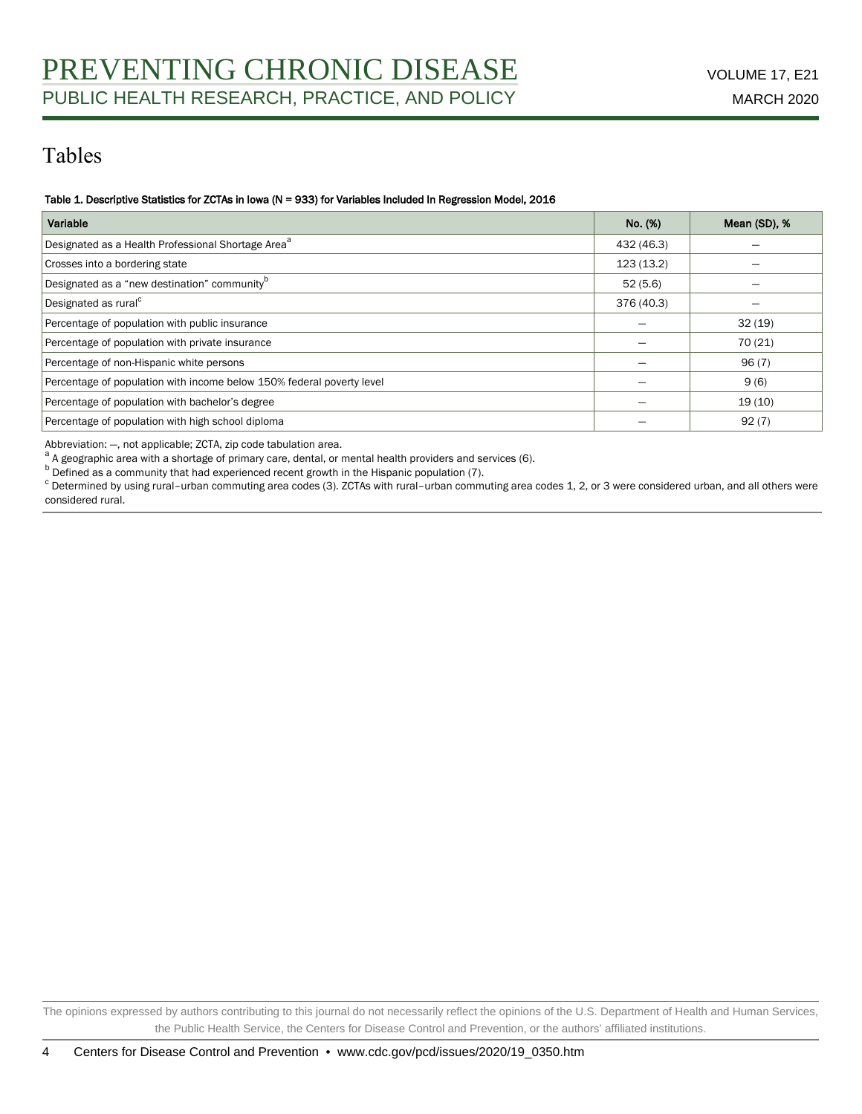## Tables

#### Table 1. Descriptive Statistics for ZCTAs in Iowa (N = 933) for Variables Included In Regression Model, 2016

| Variable                                                              | No. (%)    | Mean (SD), % |
|-----------------------------------------------------------------------|------------|--------------|
| Designated as a Health Professional Shortage Area <sup>a</sup>        | 432 (46.3) |              |
| Crosses into a bordering state                                        | 123 (13.2) |              |
| Designated as a "new destination" community <sup>b</sup>              | 52(5.6)    |              |
| Designated as rural <sup>c</sup>                                      | 376 (40.3) |              |
| Percentage of population with public insurance                        |            | 32(19)       |
| Percentage of population with private insurance                       |            | 70 (21)      |
| Percentage of non-Hispanic white persons                              |            | 96(7)        |
| Percentage of population with income below 150% federal poverty level |            | 9(6)         |
| Percentage of population with bachelor's degree                       |            | 19(10)       |
| Percentage of population with high school diploma                     |            | 92(7)        |

Abbreviation: —, not applicable; ZCTA, zip code tabulation area.

<sup>a</sup> A geographic area with a shortage of primary care, dental, or mental health providers and services (6).

**b** Defined as a community that had experienced recent growth in the Hispanic population (7).

c Determined by using rural–urban commuting area codes (3). ZCTAs with rural–urban commuting area codes 1, 2, or 3 were considered urban, and all others were considered rural.

The opinions expressed by authors contributing to this journal do not necessarily reflect the opinions of the U.S. Department of Health and Human Services, the Public Health Service, the Centers for Disease Control and Prevention, or the authors' affiliated institutions.